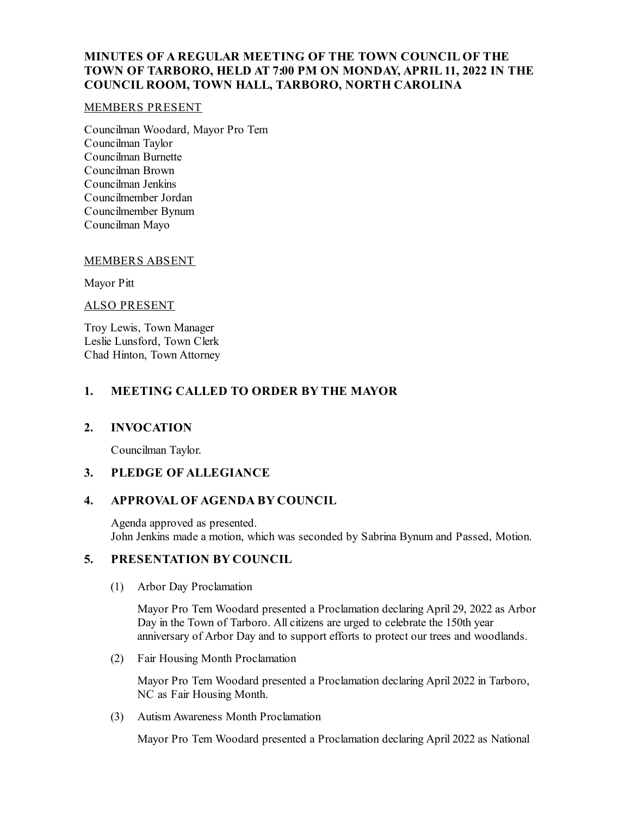# **MINUTES OF A REGULAR MEETING OF THE TOWN COUNCIL OF THE TOWN OF TARBORO, HELD AT 7:00 PM ON MONDAY, APRIL 11, 2022 IN THE COUNCIL ROOM, TOWN HALL, TARBORO, NORTH CAROLINA**

### MEMBERS PRESENT

Councilman Woodard, Mayor Pro Tem Councilman Taylor Councilman Burnette Councilman Brown Councilman Jenkins Councilmember Jordan Councilmember Bynum Councilman Mayo

### MEMBERS ABSENT

Mayor Pitt

### ALSO PRESENT

Troy Lewis, Town Manager Leslie Lunsford, Town Clerk Chad Hinton, Town Attorney

## **1. MEETING CALLED TO ORDER BY THE MAYOR**

### **2. INVOCATION**

Councilman Taylor.

# **3. PLEDGE OF ALLEGIANCE**

## **4. APPROVAL OF AGENDA BY COUNCIL**

Agenda approved as presented. John Jenkins made a motion, which was seconded by Sabrina Bynum and Passed, Motion.

### **5. PRESENTATION BY COUNCIL**

(1) Arbor Day Proclamation

Mayor Pro Tem Woodard presented a Proclamation declaring April 29, 2022 as Arbor Day in the Town of Tarboro. All citizens are urged to celebrate the 150th year anniversary of Arbor Day and to support efforts to protect our trees and woodlands.

(2) Fair Housing Month Proclamation

Mayor Pro Tem Woodard presented a Proclamation declaring April 2022 in Tarboro, NC as Fair Housing Month.

(3) Autism Awareness Month Proclamation

Mayor Pro Tem Woodard presented a Proclamation declaring April 2022 as National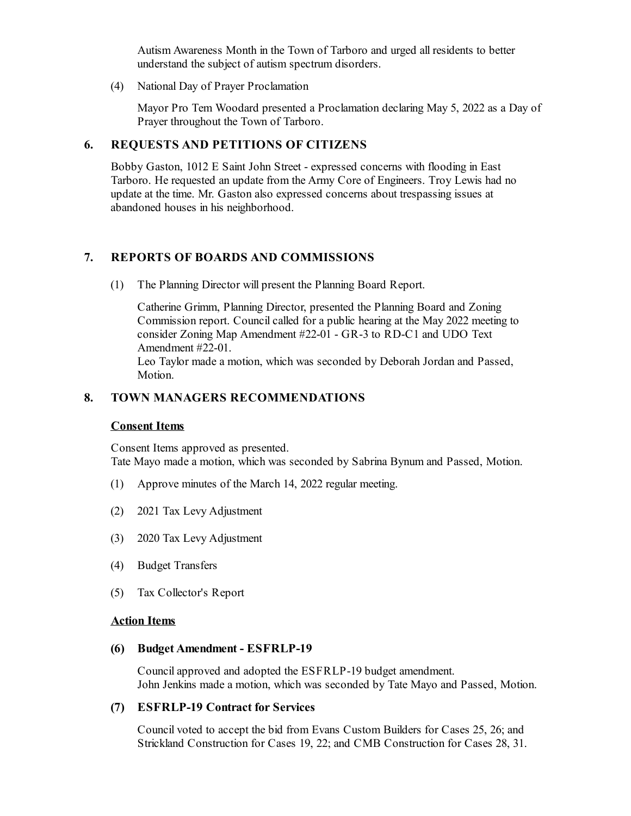Autism Awareness Month in the Town of Tarboro and urged all residents to better understand the subject of autism spectrum disorders.

(4) National Day of Prayer Proclamation

Mayor Pro Tem Woodard presented a Proclamation declaring May 5, 2022 as a Day of Prayer throughout the Town of Tarboro.

#### **6. REQUESTS AND PETITIONS OF CITIZENS**

Bobby Gaston, 1012 E Saint John Street - expressed concerns with flooding in East Tarboro. He requested an update from the Army Core of Engineers. Troy Lewis had no update at the time. Mr. Gaston also expressed concerns about trespassing issues at abandoned houses in his neighborhood.

### **7. REPORTS OF BOARDS AND COMMISSIONS**

(1) The Planning Director will present the Planning Board Report.

Catherine Grimm, Planning Director, presented the Planning Board and Zoning Commission report. Council called for a public hearing at the May 2022 meeting to consider Zoning Map Amendment #22-01 - GR-3 to RD-C1 and UDO Text Amendment #22-01. Leo Taylor made a motion, which was seconded by Deborah Jordan and Passed,

Motion.

### **8. TOWN MANAGERS RECOMMENDATIONS**

#### **Consent Items**

Consent Items approved as presented. Tate Mayo made a motion, which was seconded by Sabrina Bynum and Passed, Motion.

- (1) Approve minutes of the March 14, 2022 regular meeting.
- (2) 2021 Tax Levy Adjustment
- (3) 2020 Tax Levy Adjustment
- (4) Budget Transfers
- (5) Tax Collector's Report

#### **Action Items**

#### **(6) Budget Amendment - ESFRLP-19**

Councilapproved and adopted the ESFRLP-19 budget amendment. John Jenkins made a motion, which was seconded by Tate Mayo and Passed, Motion.

### **(7) ESFRLP-19 Contract for Services**

Council voted to accept the bid from Evans Custom Builders for Cases 25, 26; and Strickland Construction for Cases 19, 22; and CMB Construction for Cases 28, 31.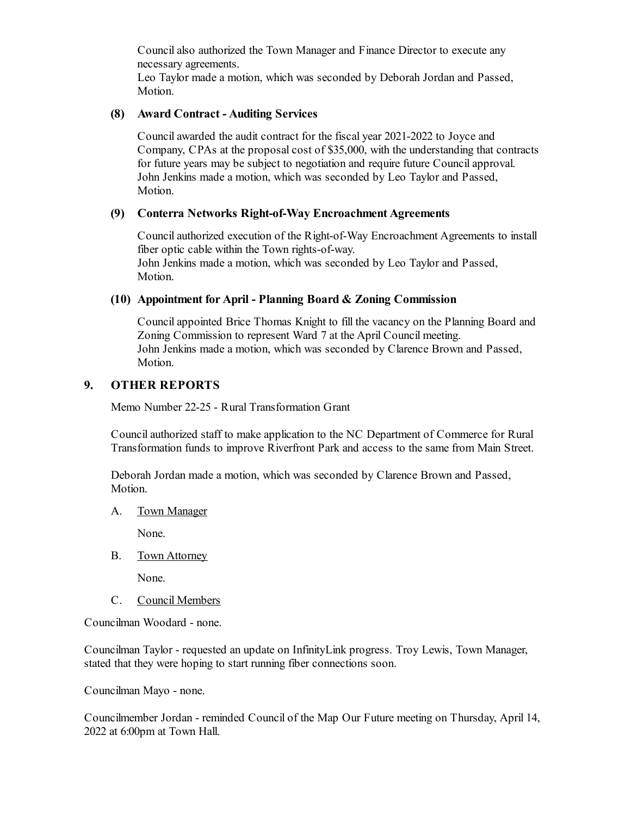Councilalso authorized the Town Manager and Finance Director to execute any necessary agreements.

Leo Taylor made a motion, which was seconded by Deborah Jordan and Passed, Motion.

### **(8) Award Contract - Auditing Services**

Councilawarded the audit contract for the fiscal year 2021-2022 to Joyce and Company, CPAs at the proposal cost of \$35,000, with the understanding that contracts for future years may be subject to negotiation and require future Councilapproval. John Jenkins made a motion, which was seconded by Leo Taylor and Passed, Motion.

## **(9) Conterra Networks Right-of-Way Encroachment Agreements**

Councilauthorized execution of the Right-of-Way Encroachment Agreements to install fiber optic cable within the Town rights-of-way. John Jenkins made a motion, which was seconded by Leo Taylor and Passed,

Motion.

### **(10) Appointment for April - Planning Board & Zoning Commission**

Councilappointed Brice Thomas Knight to fill the vacancy on the Planning Board and Zoning Commission to represent Ward 7 at the April Council meeting. John Jenkins made a motion, which was seconded by Clarence Brown and Passed, Motion.

### **9. OTHER REPORTS**

Memo Number 22-25 - Rural Transformation Grant

Councilauthorized staff to make application to the NC Department of Commerce for Rural Transformation funds to improve Riverfront Park and access to the same from Main Street.

Deborah Jordan made a motion, which was seconded by Clarence Brown and Passed, Motion.

A. Town Manager

None.

B. Town Attorney

None.

C. Council Members

Councilman Woodard - none.

Councilman Taylor - requested an update on InfinityLink progress. Troy Lewis, Town Manager, stated that they were hoping to start running fiber connections soon.

Councilman Mayo - none.

Councilmember Jordan - reminded Council of the Map Our Future meeting on Thursday, April 14, 2022 at 6:00pm at Town Hall.